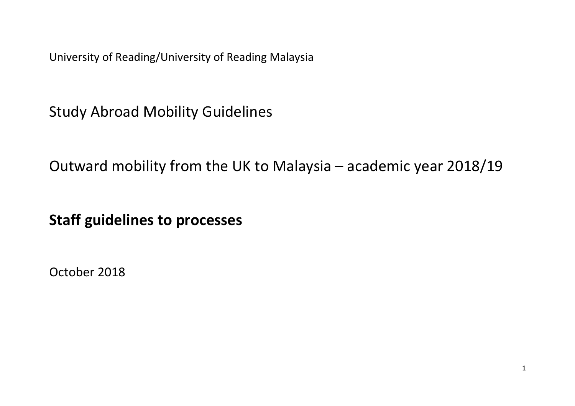University of Reading/University of Reading Malaysia

Study Abroad Mobility Guidelines

Outward mobility from the UK to Malaysia – academic year 2018/19

**Staff guidelines to processes**

October 2018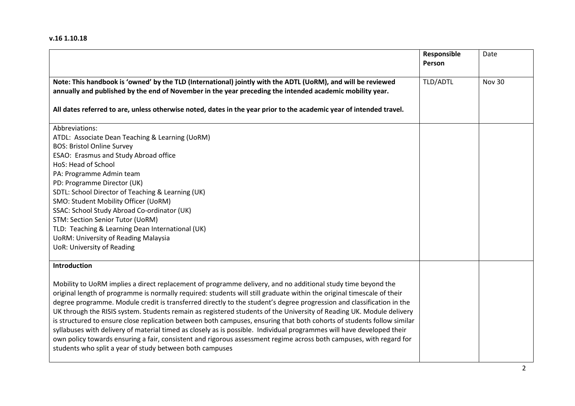## **v.16 1.10.18**

|                                                                                                                                                                                                                                                                                                                                                                                                                                                                                                                                                                                                                                                                                                                                                                                                                                                                                                                                               | Responsible<br>Person | Date   |
|-----------------------------------------------------------------------------------------------------------------------------------------------------------------------------------------------------------------------------------------------------------------------------------------------------------------------------------------------------------------------------------------------------------------------------------------------------------------------------------------------------------------------------------------------------------------------------------------------------------------------------------------------------------------------------------------------------------------------------------------------------------------------------------------------------------------------------------------------------------------------------------------------------------------------------------------------|-----------------------|--------|
| Note: This handbook is 'owned' by the TLD (International) jointly with the ADTL (UoRM), and will be reviewed<br>annually and published by the end of November in the year preceding the intended academic mobility year.<br>All dates referred to are, unless otherwise noted, dates in the year prior to the academic year of intended travel.                                                                                                                                                                                                                                                                                                                                                                                                                                                                                                                                                                                               | TLD/ADTL              | Nov 30 |
| Abbreviations:<br>ATDL: Associate Dean Teaching & Learning (UoRM)<br><b>BOS: Bristol Online Survey</b><br>ESAO: Erasmus and Study Abroad office<br>HoS: Head of School<br>PA: Programme Admin team<br>PD: Programme Director (UK)<br>SDTL: School Director of Teaching & Learning (UK)<br>SMO: Student Mobility Officer (UoRM)<br>SSAC: School Study Abroad Co-ordinator (UK)<br><b>STM: Section Senior Tutor (UoRM)</b><br>TLD: Teaching & Learning Dean International (UK)<br><b>UoRM: University of Reading Malaysia</b><br><b>UoR: University of Reading</b>                                                                                                                                                                                                                                                                                                                                                                              |                       |        |
| Introduction<br>Mobility to UoRM implies a direct replacement of programme delivery, and no additional study time beyond the<br>original length of programme is normally required: students will still graduate within the original timescale of their<br>degree programme. Module credit is transferred directly to the student's degree progression and classification in the<br>UK through the RISIS system. Students remain as registered students of the University of Reading UK. Module delivery<br>is structured to ensure close replication between both campuses, ensuring that both cohorts of students follow similar<br>syllabuses with delivery of material timed as closely as is possible. Individual programmes will have developed their<br>own policy towards ensuring a fair, consistent and rigorous assessment regime across both campuses, with regard for<br>students who split a year of study between both campuses |                       |        |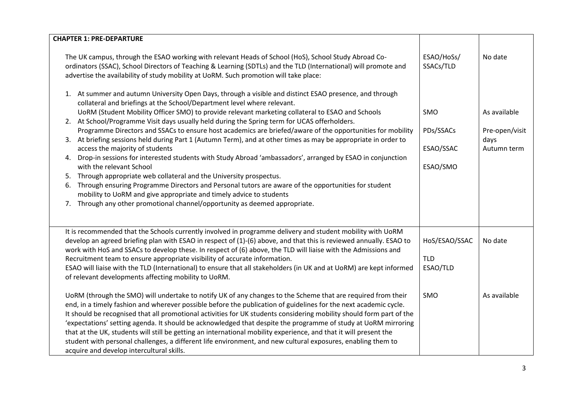| <b>CHAPTER 1: PRE-DEPARTURE</b>                                                                                                                                                                                                                                                                                                                                                                                                                                                                                                                                                                                                                                                                                                                                                                                                                                                                                                                                                                                                                                                                                                                        |                                                  |                                                       |
|--------------------------------------------------------------------------------------------------------------------------------------------------------------------------------------------------------------------------------------------------------------------------------------------------------------------------------------------------------------------------------------------------------------------------------------------------------------------------------------------------------------------------------------------------------------------------------------------------------------------------------------------------------------------------------------------------------------------------------------------------------------------------------------------------------------------------------------------------------------------------------------------------------------------------------------------------------------------------------------------------------------------------------------------------------------------------------------------------------------------------------------------------------|--------------------------------------------------|-------------------------------------------------------|
| The UK campus, through the ESAO working with relevant Heads of School (HoS), School Study Abroad Co-<br>ordinators (SSAC), School Directors of Teaching & Learning (SDTLs) and the TLD (International) will promote and<br>advertise the availability of study mobility at UoRM. Such promotion will take place:                                                                                                                                                                                                                                                                                                                                                                                                                                                                                                                                                                                                                                                                                                                                                                                                                                       | ESAO/HoSs/<br>SSACs/TLD                          | No date                                               |
| 1. At summer and autumn University Open Days, through a visible and distinct ESAO presence, and through<br>collateral and briefings at the School/Department level where relevant.<br>UoRM (Student Mobility Officer SMO) to provide relevant marketing collateral to ESAO and Schools<br>2. At School/Programme Visit days usually held during the Spring term for UCAS offerholders.<br>Programme Directors and SSACs to ensure host academics are briefed/aware of the opportunities for mobility<br>3. At briefing sessions held during Part 1 (Autumn Term), and at other times as may be appropriate in order to<br>access the majority of students<br>4. Drop-in sessions for interested students with Study Abroad 'ambassadors', arranged by ESAO in conjunction<br>with the relevant School<br>Through appropriate web collateral and the University prospectus.<br>5.<br>Through ensuring Programme Directors and Personal tutors are aware of the opportunities for student<br>6.<br>mobility to UoRM and give appropriate and timely advice to students<br>Through any other promotional channel/opportunity as deemed appropriate.<br>7. | <b>SMO</b><br>PDs/SSACs<br>ESAO/SSAC<br>ESAO/SMO | As available<br>Pre-open/visit<br>days<br>Autumn term |
| It is recommended that the Schools currently involved in programme delivery and student mobility with UoRM<br>develop an agreed briefing plan with ESAO in respect of (1)-(6) above, and that this is reviewed annually. ESAO to<br>work with HoS and SSACs to develop these. In respect of (6) above, the TLD will liaise with the Admissions and<br>Recruitment team to ensure appropriate visibility of accurate information.<br>ESAO will liaise with the TLD (International) to ensure that all stakeholders (in UK and at UoRM) are kept informed<br>of relevant developments affecting mobility to UoRM.<br>UoRM (through the SMO) will undertake to notify UK of any changes to the Scheme that are required from their<br>end, in a timely fashion and wherever possible before the publication of guidelines for the next academic cycle.<br>It should be recognised that all promotional activities for UK students considering mobility should form part of the                                                                                                                                                                            | HoS/ESAO/SSAC<br><b>TLD</b><br>ESAO/TLD<br>SMO   | No date<br>As available                               |
| 'expectations' setting agenda. It should be acknowledged that despite the programme of study at UoRM mirroring<br>that at the UK, students will still be getting an international mobility experience, and that it will present the<br>student with personal challenges, a different life environment, and new cultural exposures, enabling them to<br>acquire and develop intercultural skills.                                                                                                                                                                                                                                                                                                                                                                                                                                                                                                                                                                                                                                                                                                                                                       |                                                  |                                                       |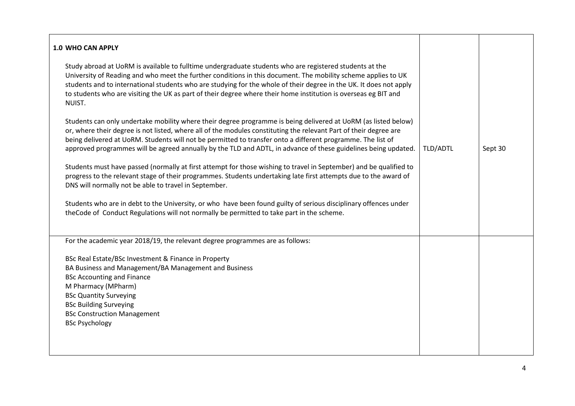| <b>1.0 WHO CAN APPLY</b>                                                                                                                                                                                                                                                                                                                                                                                                                                                    |          |         |
|-----------------------------------------------------------------------------------------------------------------------------------------------------------------------------------------------------------------------------------------------------------------------------------------------------------------------------------------------------------------------------------------------------------------------------------------------------------------------------|----------|---------|
| Study abroad at UoRM is available to fulltime undergraduate students who are registered students at the<br>University of Reading and who meet the further conditions in this document. The mobility scheme applies to UK<br>students and to international students who are studying for the whole of their degree in the UK. It does not apply<br>to students who are visiting the UK as part of their degree where their home institution is overseas eg BIT and<br>NUIST. |          |         |
| Students can only undertake mobility where their degree programme is being delivered at UORM (as listed below)<br>or, where their degree is not listed, where all of the modules constituting the relevant Part of their degree are<br>being delivered at UoRM. Students will not be permitted to transfer onto a different programme. The list of<br>approved programmes will be agreed annually by the TLD and ADTL, in advance of these guidelines being updated.        | TLD/ADTL | Sept 30 |
| Students must have passed (normally at first attempt for those wishing to travel in September) and be qualified to<br>progress to the relevant stage of their programmes. Students undertaking late first attempts due to the award of<br>DNS will normally not be able to travel in September.                                                                                                                                                                             |          |         |
| Students who are in debt to the University, or who have been found guilty of serious disciplinary offences under<br>the Code of Conduct Regulations will not normally be permitted to take part in the scheme.                                                                                                                                                                                                                                                              |          |         |
| For the academic year 2018/19, the relevant degree programmes are as follows:                                                                                                                                                                                                                                                                                                                                                                                               |          |         |
| BSc Real Estate/BSc Investment & Finance in Property<br>BA Business and Management/BA Management and Business<br><b>BSc Accounting and Finance</b><br>M Pharmacy (MPharm)<br><b>BSc Quantity Surveying</b><br><b>BSc Building Surveying</b><br><b>BSc Construction Management</b><br><b>BSc Psychology</b>                                                                                                                                                                  |          |         |
|                                                                                                                                                                                                                                                                                                                                                                                                                                                                             |          |         |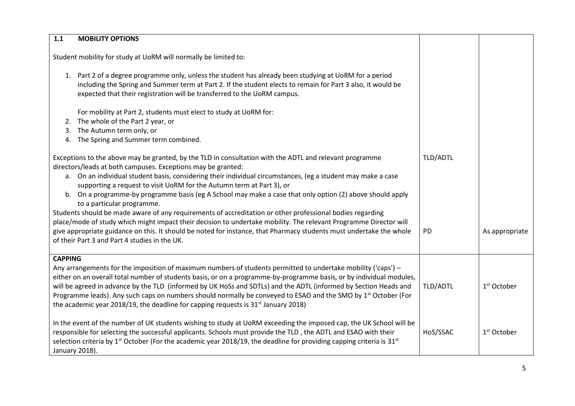| 1.1            | <b>MOBILITY OPTIONS</b>                                                                                                                                                                                                                                                                                                                                                                 |           |                         |
|----------------|-----------------------------------------------------------------------------------------------------------------------------------------------------------------------------------------------------------------------------------------------------------------------------------------------------------------------------------------------------------------------------------------|-----------|-------------------------|
|                | Student mobility for study at UoRM will normally be limited to:                                                                                                                                                                                                                                                                                                                         |           |                         |
|                | 1. Part 2 of a degree programme only, unless the student has already been studying at UoRM for a period<br>including the Spring and Summer term at Part 2. If the student elects to remain for Part 3 also, it would be<br>expected that their registration will be transferred to the UoRM campus.                                                                                     |           |                         |
|                | For mobility at Part 2, students must elect to study at UoRM for:                                                                                                                                                                                                                                                                                                                       |           |                         |
| 2.             | The whole of the Part 2 year, or                                                                                                                                                                                                                                                                                                                                                        |           |                         |
| 3.             | The Autumn term only, or                                                                                                                                                                                                                                                                                                                                                                |           |                         |
| 4.             | The Spring and Summer term combined.                                                                                                                                                                                                                                                                                                                                                    |           |                         |
|                | Exceptions to the above may be granted, by the TLD in consultation with the ADTL and relevant programme<br>directors/leads at both campuses. Exceptions may be granted:<br>a. On an individual student basis, considering their individual circumstances, (eg a student may make a case<br>supporting a request to visit UoRM for the Autumn term at Part 3), or                        | TLD/ADTL  |                         |
|                | b. On a programme-by programme basis (eg A School may make a case that only option (2) above should apply<br>to a particular programme.                                                                                                                                                                                                                                                 |           |                         |
|                | Students should be made aware of any requirements of accreditation or other professional bodies regarding                                                                                                                                                                                                                                                                               |           |                         |
|                | place/mode of study which might impact their decision to undertake mobility. The relevant Programme Director will                                                                                                                                                                                                                                                                       |           |                         |
|                | give appropriate guidance on this. It should be noted for instance, that Pharmacy students must undertake the whole                                                                                                                                                                                                                                                                     | <b>PD</b> | As appropriate          |
|                | of their Part 3 and Part 4 studies in the UK.                                                                                                                                                                                                                                                                                                                                           |           |                         |
| <b>CAPPING</b> |                                                                                                                                                                                                                                                                                                                                                                                         |           |                         |
|                | Any arrangements for the imposition of maximum numbers of students permitted to undertake mobility ('caps') -                                                                                                                                                                                                                                                                           |           |                         |
|                | either on an overall total number of students basis, or on a programme-by-programme basis, or by individual modules,                                                                                                                                                                                                                                                                    |           |                         |
|                | will be agreed in advance by the TLD (informed by UK HoSs and SDTLs) and the ADTL (informed by Section Heads and                                                                                                                                                                                                                                                                        | TLD/ADTL  | 1 <sup>st</sup> October |
|                | Programme leads). Any such caps on numbers should normally be conveyed to ESAO and the SMO by 1 <sup>st</sup> October (For                                                                                                                                                                                                                                                              |           |                         |
|                | the academic year 2018/19, the deadline for capping requests is 31 <sup>st</sup> January 2018)                                                                                                                                                                                                                                                                                          |           |                         |
| January 2018). | In the event of the number of UK students wishing to study at UoRM exceeding the imposed cap, the UK School will be<br>responsible for selecting the successful applicants. Schools must provide the TLD, the ADTL and ESAO with their<br>selection criteria by 1 <sup>st</sup> October (For the academic year 2018/19, the deadline for providing capping criteria is 31 <sup>st</sup> | HoS/SSAC  | 1 <sup>st</sup> October |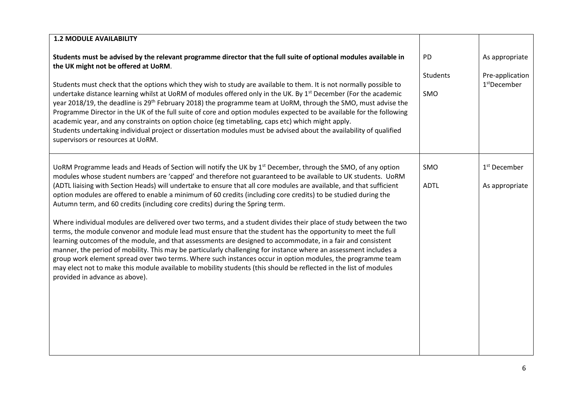| <b>1.2 MODULE AVAILABILITY</b>                                                                                                                                                                                                                                                                                                                                                                                                                                                                                                                                                                                                                                                                                                                                            |                    |                                             |
|---------------------------------------------------------------------------------------------------------------------------------------------------------------------------------------------------------------------------------------------------------------------------------------------------------------------------------------------------------------------------------------------------------------------------------------------------------------------------------------------------------------------------------------------------------------------------------------------------------------------------------------------------------------------------------------------------------------------------------------------------------------------------|--------------------|---------------------------------------------|
| Students must be advised by the relevant programme director that the full suite of optional modules available in<br>the UK might not be offered at UoRM.                                                                                                                                                                                                                                                                                                                                                                                                                                                                                                                                                                                                                  | PD                 | As appropriate                              |
| Students must check that the options which they wish to study are available to them. It is not normally possible to<br>undertake distance learning whilst at UoRM of modules offered only in the UK. By 1 <sup>st</sup> December (For the academic<br>year 2018/19, the deadline is 29 <sup>th</sup> February 2018) the programme team at UoRM, through the SMO, must advise the<br>Programme Director in the UK of the full suite of core and option modules expected to be available for the following<br>academic year, and any constraints on option choice (eg timetabling, caps etc) which might apply.<br>Students undertaking individual project or dissertation modules must be advised about the availability of qualified<br>supervisors or resources at UoRM. | Students<br>SMO    | Pre-application<br>1 <sup>st</sup> December |
| UoRM Programme leads and Heads of Section will notify the UK by 1 <sup>st</sup> December, through the SMO, of any option<br>modules whose student numbers are 'capped' and therefore not guaranteed to be available to UK students. UoRM<br>(ADTL liaising with Section Heads) will undertake to ensure that all core modules are available, and that sufficient<br>option modules are offered to enable a minimum of 60 credits (including core credits) to be studied during the<br>Autumn term, and 60 credits (including core credits) during the Spring term.                                                                                                                                                                                                        | SMO<br><b>ADTL</b> | 1 <sup>st</sup> December<br>As appropriate  |
| Where individual modules are delivered over two terms, and a student divides their place of study between the two<br>terms, the module convenor and module lead must ensure that the student has the opportunity to meet the full<br>learning outcomes of the module, and that assessments are designed to accommodate, in a fair and consistent<br>manner, the period of mobility. This may be particularly challenging for instance where an assessment includes a<br>group work element spread over two terms. Where such instances occur in option modules, the programme team<br>may elect not to make this module available to mobility students (this should be reflected in the list of modules<br>provided in advance as above).                                 |                    |                                             |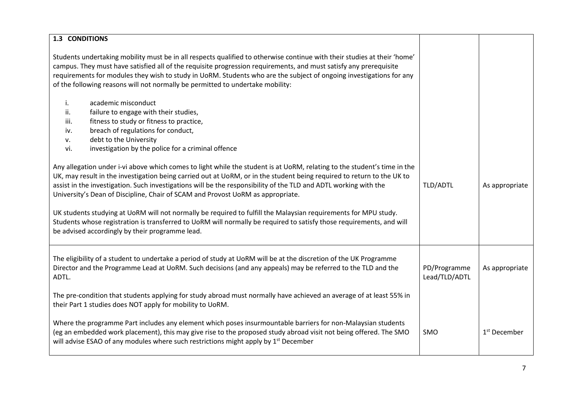| <b>1.3 CONDITIONS</b>                                                                                                                                                                                                                                                                                                                                                                                                                                                                                                                                                                                                                                                                                |                               |                          |
|------------------------------------------------------------------------------------------------------------------------------------------------------------------------------------------------------------------------------------------------------------------------------------------------------------------------------------------------------------------------------------------------------------------------------------------------------------------------------------------------------------------------------------------------------------------------------------------------------------------------------------------------------------------------------------------------------|-------------------------------|--------------------------|
|                                                                                                                                                                                                                                                                                                                                                                                                                                                                                                                                                                                                                                                                                                      |                               |                          |
| Students undertaking mobility must be in all respects qualified to otherwise continue with their studies at their 'home'<br>campus. They must have satisfied all of the requisite progression requirements, and must satisfy any prerequisite<br>requirements for modules they wish to study in UoRM. Students who are the subject of ongoing investigations for any<br>of the following reasons will not normally be permitted to undertake mobility:                                                                                                                                                                                                                                               |                               |                          |
| academic misconduct<br>i.<br>failure to engage with their studies,<br>ii.<br>fitness to study or fitness to practice,<br>iii.<br>breach of regulations for conduct,<br>iv.<br>debt to the University<br>v.<br>investigation by the police for a criminal offence<br>vi.                                                                                                                                                                                                                                                                                                                                                                                                                              |                               |                          |
| Any allegation under i-vi above which comes to light while the student is at UoRM, relating to the student's time in the<br>UK, may result in the investigation being carried out at UoRM, or in the student being required to return to the UK to<br>assist in the investigation. Such investigations will be the responsibility of the TLD and ADTL working with the<br>University's Dean of Discipline, Chair of SCAM and Provost UoRM as appropriate.<br>UK students studying at UoRM will not normally be required to fulfill the Malaysian requirements for MPU study.<br>Students whose registration is transferred to UoRM will normally be required to satisfy those requirements, and will | TLD/ADTL                      | As appropriate           |
| be advised accordingly by their programme lead.                                                                                                                                                                                                                                                                                                                                                                                                                                                                                                                                                                                                                                                      |                               |                          |
| The eligibility of a student to undertake a period of study at UoRM will be at the discretion of the UK Programme<br>Director and the Programme Lead at UoRM. Such decisions (and any appeals) may be referred to the TLD and the<br>ADTL.<br>The pre-condition that students applying for study abroad must normally have achieved an average of at least 55% in<br>their Part 1 studies does NOT apply for mobility to UoRM.                                                                                                                                                                                                                                                                       | PD/Programme<br>Lead/TLD/ADTL | As appropriate           |
| Where the programme Part includes any element which poses insurmountable barriers for non-Malaysian students<br>(eg an embedded work placement), this may give rise to the proposed study abroad visit not being offered. The SMO<br>will advise ESAO of any modules where such restrictions might apply by $1^{st}$ December                                                                                                                                                                                                                                                                                                                                                                        | SMO                           | 1 <sup>st</sup> December |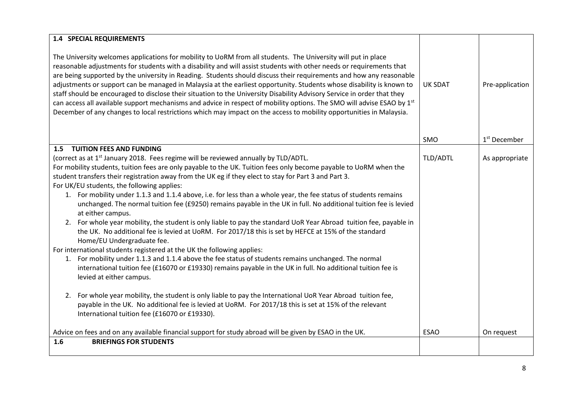| <b>1.4 SPECIAL REQUIREMENTS</b>                                                                                                                                                                                                                                                                                                                                                                                                                                                                                                                                                                                                                                                                                                                                                                                                                                                                                                                                                                                                                                                                                                                                                                                                                                                                                                                                                                                                                                                                        |                |                          |
|--------------------------------------------------------------------------------------------------------------------------------------------------------------------------------------------------------------------------------------------------------------------------------------------------------------------------------------------------------------------------------------------------------------------------------------------------------------------------------------------------------------------------------------------------------------------------------------------------------------------------------------------------------------------------------------------------------------------------------------------------------------------------------------------------------------------------------------------------------------------------------------------------------------------------------------------------------------------------------------------------------------------------------------------------------------------------------------------------------------------------------------------------------------------------------------------------------------------------------------------------------------------------------------------------------------------------------------------------------------------------------------------------------------------------------------------------------------------------------------------------------|----------------|--------------------------|
| The University welcomes applications for mobility to UoRM from all students. The University will put in place<br>reasonable adjustments for students with a disability and will assist students with other needs or requirements that<br>are being supported by the university in Reading. Students should discuss their requirements and how any reasonable<br>adjustments or support can be managed in Malaysia at the earliest opportunity. Students whose disability is known to<br>staff should be encouraged to disclose their situation to the University Disability Advisory Service in order that they<br>can access all available support mechanisms and advice in respect of mobility options. The SMO will advise ESAO by 1st<br>December of any changes to local restrictions which may impact on the access to mobility opportunities in Malaysia.                                                                                                                                                                                                                                                                                                                                                                                                                                                                                                                                                                                                                                       | <b>UK SDAT</b> | Pre-application          |
|                                                                                                                                                                                                                                                                                                                                                                                                                                                                                                                                                                                                                                                                                                                                                                                                                                                                                                                                                                                                                                                                                                                                                                                                                                                                                                                                                                                                                                                                                                        | <b>SMO</b>     | 1 <sup>st</sup> December |
| <b>1.5 TUITION FEES AND FUNDING</b><br>(correct as at 1 <sup>st</sup> January 2018. Fees regime will be reviewed annually by TLD/ADTL.<br>For mobility students, tuition fees are only payable to the UK. Tuition fees only become payable to UoRM when the<br>student transfers their registration away from the UK eg if they elect to stay for Part 3 and Part 3.<br>For UK/EU students, the following applies:<br>1. For mobility under 1.1.3 and 1.1.4 above, i.e. for less than a whole year, the fee status of students remains<br>unchanged. The normal tuition fee (£9250) remains payable in the UK in full. No additional tuition fee is levied<br>at either campus.<br>2. For whole year mobility, the student is only liable to pay the standard UoR Year Abroad tuition fee, payable in<br>the UK. No additional fee is levied at UoRM. For 2017/18 this is set by HEFCE at 15% of the standard<br>Home/EU Undergraduate fee.<br>For international students registered at the UK the following applies:<br>1. For mobility under 1.1.3 and 1.1.4 above the fee status of students remains unchanged. The normal<br>international tuition fee (£16070 or £19330) remains payable in the UK in full. No additional tuition fee is<br>levied at either campus.<br>For whole year mobility, the student is only liable to pay the International UoR Year Abroad tuition fee,<br>2.<br>payable in the UK. No additional fee is levied at UoRM. For 2017/18 this is set at 15% of the relevant | TLD/ADTL       | As appropriate           |
| International tuition fee (£16070 or £19330).                                                                                                                                                                                                                                                                                                                                                                                                                                                                                                                                                                                                                                                                                                                                                                                                                                                                                                                                                                                                                                                                                                                                                                                                                                                                                                                                                                                                                                                          |                |                          |
| Advice on fees and on any available financial support for study abroad will be given by ESAO in the UK.                                                                                                                                                                                                                                                                                                                                                                                                                                                                                                                                                                                                                                                                                                                                                                                                                                                                                                                                                                                                                                                                                                                                                                                                                                                                                                                                                                                                | <b>ESAO</b>    | On request               |
| 1.6<br><b>BRIEFINGS FOR STUDENTS</b>                                                                                                                                                                                                                                                                                                                                                                                                                                                                                                                                                                                                                                                                                                                                                                                                                                                                                                                                                                                                                                                                                                                                                                                                                                                                                                                                                                                                                                                                   |                |                          |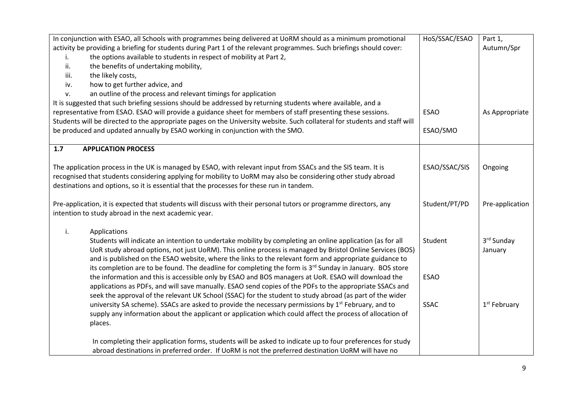| In conjunction with ESAO, all Schools with programmes being delivered at UoRM should as a minimum promotional             | HoS/SSAC/ESAO | Part 1,         |
|---------------------------------------------------------------------------------------------------------------------------|---------------|-----------------|
| activity be providing a briefing for students during Part 1 of the relevant programmes. Such briefings should cover:      |               | Autumn/Spr      |
| the options available to students in respect of mobility at Part 2,<br>i.                                                 |               |                 |
| the benefits of undertaking mobility,<br>ii.                                                                              |               |                 |
| the likely costs,<br>iii.                                                                                                 |               |                 |
| how to get further advice, and<br>iv.                                                                                     |               |                 |
| an outline of the process and relevant timings for application<br>v.                                                      |               |                 |
| It is suggested that such briefing sessions should be addressed by returning students where available, and a              |               |                 |
| representative from ESAO. ESAO will provide a guidance sheet for members of staff presenting these sessions.              | <b>ESAO</b>   | As Appropriate  |
| Students will be directed to the appropriate pages on the University website. Such collateral for students and staff will |               |                 |
| be produced and updated annually by ESAO working in conjunction with the SMO.                                             | ESAO/SMO      |                 |
|                                                                                                                           |               |                 |
| 1.7<br><b>APPLICATION PROCESS</b>                                                                                         |               |                 |
|                                                                                                                           |               |                 |
| The application process in the UK is managed by ESAO, with relevant input from SSACs and the SIS team. It is              | ESAO/SSAC/SIS | Ongoing         |
| recognised that students considering applying for mobility to UoRM may also be considering other study abroad             |               |                 |
| destinations and options, so it is essential that the processes for these run in tandem.                                  |               |                 |
|                                                                                                                           |               |                 |
| Pre-application, it is expected that students will discuss with their personal tutors or programme directors, any         |               | Pre-application |
| intention to study abroad in the next academic year.                                                                      |               |                 |
|                                                                                                                           |               |                 |
| Applications<br>i.                                                                                                        |               |                 |
| Students will indicate an intention to undertake mobility by completing an online application (as for all                 | Student       | 3rd Sunday      |
| UoR study abroad options, not just UoRM). This online process is managed by Bristol Online Services (BOS)                 |               | January         |
| and is published on the ESAO website, where the links to the relevant form and appropriate guidance to                    |               |                 |
| its completion are to be found. The deadline for completing the form is 3 <sup>rd</sup> Sunday in January. BOS store      |               |                 |
| the information and this is accessible only by ESAO and BOS managers at UoR. ESAO will download the                       | <b>ESAO</b>   |                 |
| applications as PDFs, and will save manually. ESAO send copies of the PDFs to the appropriate SSACs and                   |               |                 |
| seek the approval of the relevant UK School (SSAC) for the student to study abroad (as part of the wider                  |               |                 |
| university SA scheme). SSACs are asked to provide the necessary permissions by 1 <sup>st</sup> February, and to           | <b>SSAC</b>   | $1st$ February  |
| supply any information about the applicant or application which could affect the process of allocation of                 |               |                 |
| places.                                                                                                                   |               |                 |
|                                                                                                                           |               |                 |
| In completing their application forms, students will be asked to indicate up to four preferences for study                |               |                 |
| abroad destinations in preferred order. If UoRM is not the preferred destination UoRM will have no                        |               |                 |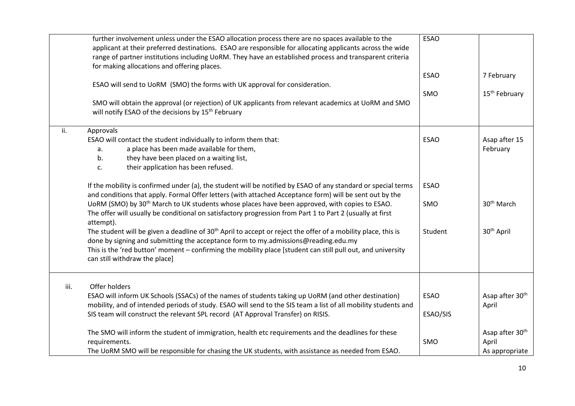|      | further involvement unless under the ESAO allocation process there are no spaces available to the<br>applicant at their preferred destinations. ESAO are responsible for allocating applicants across the wide<br>range of partner institutions including UoRM. They have an established process and transparent criteria<br>for making allocations and offering places. | <b>ESAO</b> |                             |
|------|--------------------------------------------------------------------------------------------------------------------------------------------------------------------------------------------------------------------------------------------------------------------------------------------------------------------------------------------------------------------------|-------------|-----------------------------|
|      | ESAO will send to UoRM (SMO) the forms with UK approval for consideration.                                                                                                                                                                                                                                                                                               | <b>ESAO</b> | 7 February                  |
|      |                                                                                                                                                                                                                                                                                                                                                                          | SMO         | 15 <sup>th</sup> February   |
|      | SMO will obtain the approval (or rejection) of UK applicants from relevant academics at UoRM and SMO<br>will notify ESAO of the decisions by 15 <sup>th</sup> February                                                                                                                                                                                                   |             |                             |
| ii.  | Approvals                                                                                                                                                                                                                                                                                                                                                                |             |                             |
|      | ESAO will contact the student individually to inform them that:                                                                                                                                                                                                                                                                                                          | <b>ESAO</b> | Asap after 15               |
|      | a place has been made available for them,<br>a.                                                                                                                                                                                                                                                                                                                          |             | February                    |
|      | they have been placed on a waiting list,<br>b.                                                                                                                                                                                                                                                                                                                           |             |                             |
|      | their application has been refused.<br>c.                                                                                                                                                                                                                                                                                                                                |             |                             |
|      | If the mobility is confirmed under (a), the student will be notified by ESAO of any standard or special terms<br>and conditions that apply. Formal Offer letters (with attached Acceptance form) will be sent out by the                                                                                                                                                 | <b>ESAO</b> |                             |
|      | UoRM (SMO) by 30 <sup>th</sup> March to UK students whose places have been approved, with copies to ESAO.                                                                                                                                                                                                                                                                | SMO         | 30 <sup>th</sup> March      |
|      | The offer will usually be conditional on satisfactory progression from Part 1 to Part 2 (usually at first<br>attempt).                                                                                                                                                                                                                                                   |             |                             |
|      | The student will be given a deadline of 30 <sup>th</sup> April to accept or reject the offer of a mobility place, this is                                                                                                                                                                                                                                                | Student     | 30 <sup>th</sup> April      |
|      | done by signing and submitting the acceptance form to my.admissions@reading.edu.my                                                                                                                                                                                                                                                                                       |             |                             |
|      | This is the 'red button' moment - confirming the mobility place [student can still pull out, and university<br>can still withdraw the place]                                                                                                                                                                                                                             |             |                             |
| iii. | Offer holders                                                                                                                                                                                                                                                                                                                                                            |             |                             |
|      | ESAO will inform UK Schools (SSACs) of the names of students taking up UoRM (and other destination)                                                                                                                                                                                                                                                                      | <b>ESAO</b> | Asap after 30 <sup>th</sup> |
|      | mobility, and of intended periods of study. ESAO will send to the SIS team a list of all mobility students and                                                                                                                                                                                                                                                           |             | April                       |
|      | SIS team will construct the relevant SPL record (AT Approval Transfer) on RISIS.                                                                                                                                                                                                                                                                                         | ESAO/SIS    |                             |
|      | The SMO will inform the student of immigration, health etc requirements and the deadlines for these                                                                                                                                                                                                                                                                      |             | Asap after 30 <sup>th</sup> |
|      | requirements.                                                                                                                                                                                                                                                                                                                                                            | SMO         | April                       |
|      | The UoRM SMO will be responsible for chasing the UK students, with assistance as needed from ESAO.                                                                                                                                                                                                                                                                       |             | As appropriate              |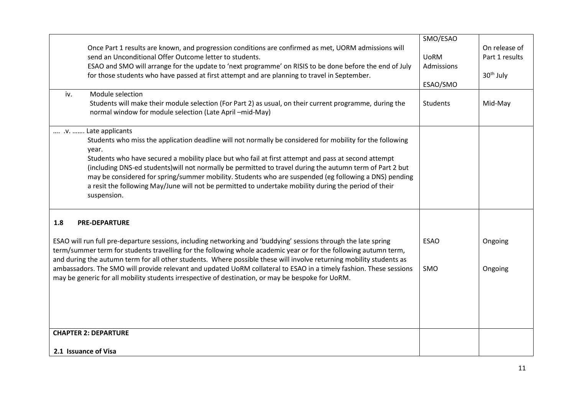|     |                                                                                                                                                                                                                                     | SMO/ESAO        |                       |
|-----|-------------------------------------------------------------------------------------------------------------------------------------------------------------------------------------------------------------------------------------|-----------------|-----------------------|
|     | Once Part 1 results are known, and progression conditions are confirmed as met, UORM admissions will                                                                                                                                |                 | On release of         |
|     | send an Unconditional Offer Outcome letter to students.                                                                                                                                                                             | <b>UoRM</b>     | Part 1 results        |
|     | ESAO and SMO will arrange for the update to 'next programme' on RISIS to be done before the end of July                                                                                                                             | Admissions      |                       |
|     | for those students who have passed at first attempt and are planning to travel in September.                                                                                                                                        | ESAO/SMO        | 30 <sup>th</sup> July |
| iv. | Module selection                                                                                                                                                                                                                    |                 |                       |
|     | Students will make their module selection (For Part 2) as usual, on their current programme, during the<br>normal window for module selection (Late April -mid-May)                                                                 | <b>Students</b> | Mid-May               |
|     | .v.  Late applicants                                                                                                                                                                                                                |                 |                       |
|     | Students who miss the application deadline will not normally be considered for mobility for the following<br>year.                                                                                                                  |                 |                       |
|     | Students who have secured a mobility place but who fail at first attempt and pass at second attempt                                                                                                                                 |                 |                       |
|     | (including DNS-ed students) will not normally be permitted to travel during the autumn term of Part 2 but                                                                                                                           |                 |                       |
|     | may be considered for spring/summer mobility. Students who are suspended (eg following a DNS) pending                                                                                                                               |                 |                       |
|     | a resit the following May/June will not be permitted to undertake mobility during the period of their<br>suspension.                                                                                                                |                 |                       |
| 1.8 | <b>PRE-DEPARTURE</b>                                                                                                                                                                                                                |                 |                       |
|     | ESAO will run full pre-departure sessions, including networking and 'buddying' sessions through the late spring<br>term/summer term for students travelling for the following whole academic year or for the following autumn term, | <b>ESAO</b>     | Ongoing               |
|     | and during the autumn term for all other students. Where possible these will involve returning mobility students as                                                                                                                 |                 |                       |
|     | ambassadors. The SMO will provide relevant and updated UoRM collateral to ESAO in a timely fashion. These sessions<br>may be generic for all mobility students irrespective of destination, or may be bespoke for UoRM.             | SMO             | Ongoing               |
|     |                                                                                                                                                                                                                                     |                 |                       |
|     |                                                                                                                                                                                                                                     |                 |                       |
|     |                                                                                                                                                                                                                                     |                 |                       |
|     |                                                                                                                                                                                                                                     |                 |                       |
|     | <b>CHAPTER 2: DEPARTURE</b>                                                                                                                                                                                                         |                 |                       |
|     |                                                                                                                                                                                                                                     |                 |                       |
|     | 2.1 Issuance of Visa                                                                                                                                                                                                                |                 |                       |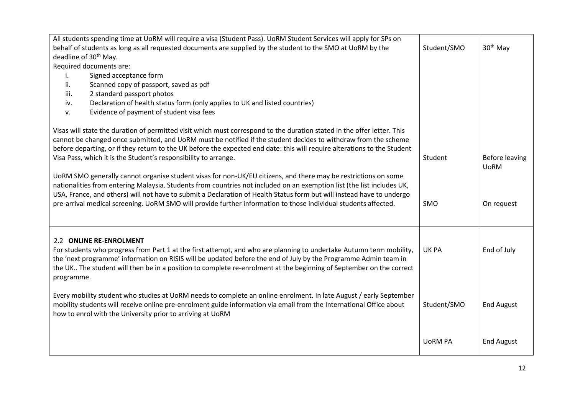| All students spending time at UoRM will require a visa (Student Pass). UoRM Student Services will apply for SPs on                                                                                                                                                                                                                                                                                                                       |                |                               |
|------------------------------------------------------------------------------------------------------------------------------------------------------------------------------------------------------------------------------------------------------------------------------------------------------------------------------------------------------------------------------------------------------------------------------------------|----------------|-------------------------------|
| behalf of students as long as all requested documents are supplied by the student to the SMO at UoRM by the                                                                                                                                                                                                                                                                                                                              | Student/SMO    | 30 <sup>th</sup> May          |
| deadline of 30 <sup>th</sup> May.                                                                                                                                                                                                                                                                                                                                                                                                        |                |                               |
| Required documents are:                                                                                                                                                                                                                                                                                                                                                                                                                  |                |                               |
| Signed acceptance form<br>Τ.                                                                                                                                                                                                                                                                                                                                                                                                             |                |                               |
| Scanned copy of passport, saved as pdf<br>ii.                                                                                                                                                                                                                                                                                                                                                                                            |                |                               |
| 2 standard passport photos<br>iii.                                                                                                                                                                                                                                                                                                                                                                                                       |                |                               |
| Declaration of health status form (only applies to UK and listed countries)<br>iv.                                                                                                                                                                                                                                                                                                                                                       |                |                               |
| Evidence of payment of student visa fees<br>v.                                                                                                                                                                                                                                                                                                                                                                                           |                |                               |
| Visas will state the duration of permitted visit which must correspond to the duration stated in the offer letter. This<br>cannot be changed once submitted, and UoRM must be notified if the student decides to withdraw from the scheme<br>before departing, or if they return to the UK before the expected end date: this will require alterations to the Student<br>Visa Pass, which it is the Student's responsibility to arrange. | Student        | Before leaving<br><b>UoRM</b> |
| UoRM SMO generally cannot organise student visas for non-UK/EU citizens, and there may be restrictions on some                                                                                                                                                                                                                                                                                                                           |                |                               |
| nationalities from entering Malaysia. Students from countries not included on an exemption list (the list includes UK,                                                                                                                                                                                                                                                                                                                   |                |                               |
| USA, France, and others) will not have to submit a Declaration of Health Status form but will instead have to undergo                                                                                                                                                                                                                                                                                                                    |                |                               |
| pre-arrival medical screening. UoRM SMO will provide further information to those individual students affected.                                                                                                                                                                                                                                                                                                                          | <b>SMO</b>     | On request                    |
|                                                                                                                                                                                                                                                                                                                                                                                                                                          |                |                               |
|                                                                                                                                                                                                                                                                                                                                                                                                                                          |                |                               |
| 2.2 ONLINE RE-ENROLMENT<br>For students who progress from Part 1 at the first attempt, and who are planning to undertake Autumn term mobility,<br>the 'next programme' information on RISIS will be updated before the end of July by the Programme Admin team in<br>the UK The student will then be in a position to complete re-enrolment at the beginning of September on the correct                                                 | <b>UK PA</b>   | End of July                   |
| programme.                                                                                                                                                                                                                                                                                                                                                                                                                               |                |                               |
| Every mobility student who studies at UoRM needs to complete an online enrolment. In late August / early September<br>mobility students will receive online pre-enrolment guide information via email from the International Office about<br>how to enrol with the University prior to arriving at UoRM                                                                                                                                  | Student/SMO    | <b>End August</b>             |
|                                                                                                                                                                                                                                                                                                                                                                                                                                          | <b>UORM PA</b> | <b>End August</b>             |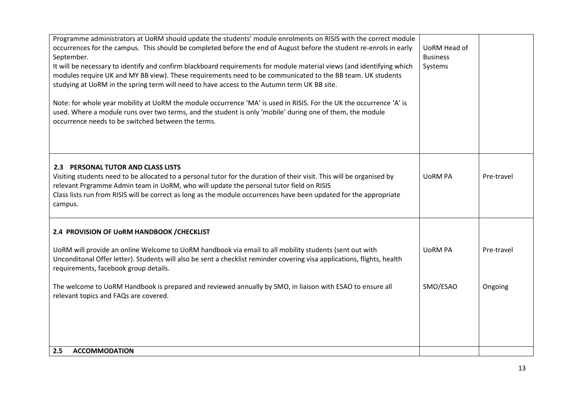| Programme administrators at UoRM should update the students' module enrolments on RISIS with the correct module<br>occurrences for the campus. This should be completed before the end of August before the student re-enrols in early<br>September.<br>It will be necessary to identify and confirm blackboard requirements for module material views (and identifying which<br>modules require UK and MY BB view). These requirements need to be communicated to the BB team. UK students<br>studying at UoRM in the spring term will need to have access to the Autumn term UK BB site.<br>Note: for whole year mobility at UoRM the module occurrence 'MA' is used in RISIS. For the UK the occurrence 'A' is<br>used. Where a module runs over two terms, and the student is only 'mobile' during one of them, the module<br>occurrence needs to be switched between the terms. | UoRM Head of<br><b>Business</b><br>Systems |            |
|--------------------------------------------------------------------------------------------------------------------------------------------------------------------------------------------------------------------------------------------------------------------------------------------------------------------------------------------------------------------------------------------------------------------------------------------------------------------------------------------------------------------------------------------------------------------------------------------------------------------------------------------------------------------------------------------------------------------------------------------------------------------------------------------------------------------------------------------------------------------------------------|--------------------------------------------|------------|
| 2.3 PERSONAL TUTOR AND CLASS LISTS<br>Visiting students need to be allocated to a personal tutor for the duration of their visit. This will be organised by<br>relevant Prgramme Admin team in UoRM, who will update the personal tutor field on RISIS<br>Class lists run from RISIS will be correct as long as the module occurrences have been updated for the appropriate<br>campus.                                                                                                                                                                                                                                                                                                                                                                                                                                                                                              | <b>UORM PA</b>                             | Pre-travel |
| 2.4 PROVISION OF UORM HANDBOOK / CHECKLIST                                                                                                                                                                                                                                                                                                                                                                                                                                                                                                                                                                                                                                                                                                                                                                                                                                           |                                            |            |
| UoRM will provide an online Welcome to UoRM handbook via email to all mobility students (sent out with<br>Unconditonal Offer letter). Students will also be sent a checklist reminder covering visa applications, flights, health<br>requirements, facebook group details.                                                                                                                                                                                                                                                                                                                                                                                                                                                                                                                                                                                                           | <b>UORM PA</b>                             | Pre-travel |
| The welcome to UoRM Handbook is prepared and reviewed annually by SMO, in liaison with ESAO to ensure all<br>relevant topics and FAQs are covered.                                                                                                                                                                                                                                                                                                                                                                                                                                                                                                                                                                                                                                                                                                                                   | SMO/ESAO                                   | Ongoing    |
|                                                                                                                                                                                                                                                                                                                                                                                                                                                                                                                                                                                                                                                                                                                                                                                                                                                                                      |                                            |            |
|                                                                                                                                                                                                                                                                                                                                                                                                                                                                                                                                                                                                                                                                                                                                                                                                                                                                                      |                                            |            |
| <b>ACCOMMODATION</b><br>2.5                                                                                                                                                                                                                                                                                                                                                                                                                                                                                                                                                                                                                                                                                                                                                                                                                                                          |                                            |            |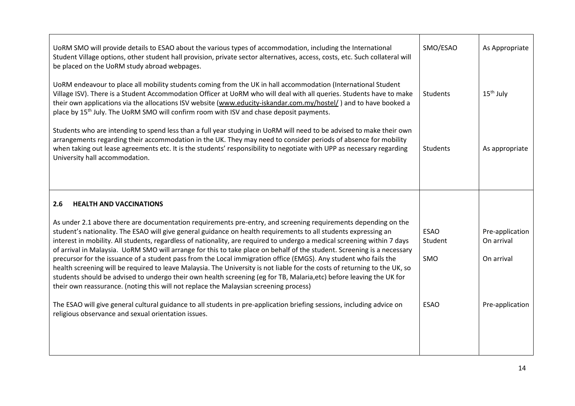| UoRM SMO will provide details to ESAO about the various types of accommodation, including the International<br>Student Village options, other student hall provision, private sector alternatives, access, costs, etc. Such collateral will<br>be placed on the UoRM study abroad webpages.                                                                                                                                                                                                                                                                                                                                                                                                                                                                                                                                                                                                                                                                 | SMO/ESAO                      | As Appropriate                              |
|-------------------------------------------------------------------------------------------------------------------------------------------------------------------------------------------------------------------------------------------------------------------------------------------------------------------------------------------------------------------------------------------------------------------------------------------------------------------------------------------------------------------------------------------------------------------------------------------------------------------------------------------------------------------------------------------------------------------------------------------------------------------------------------------------------------------------------------------------------------------------------------------------------------------------------------------------------------|-------------------------------|---------------------------------------------|
| UoRM endeavour to place all mobility students coming from the UK in hall accommodation (International Student<br>Village ISV). There is a Student Accommodation Officer at UoRM who will deal with all queries. Students have to make<br>their own applications via the allocations ISV website (www.educity-iskandar.com.my/hostel/) and to have booked a<br>place by 15 <sup>th</sup> July. The UoRM SMO will confirm room with ISV and chase deposit payments.                                                                                                                                                                                                                                                                                                                                                                                                                                                                                           | Students                      | $15th$ July                                 |
| Students who are intending to spend less than a full year studying in UoRM will need to be advised to make their own<br>arrangements regarding their accommodation in the UK. They may need to consider periods of absence for mobility<br>when taking out lease agreements etc. It is the students' responsibility to negotiate with UPP as necessary regarding<br>University hall accommodation.                                                                                                                                                                                                                                                                                                                                                                                                                                                                                                                                                          | Students                      | As appropriate                              |
|                                                                                                                                                                                                                                                                                                                                                                                                                                                                                                                                                                                                                                                                                                                                                                                                                                                                                                                                                             |                               |                                             |
| 2.6<br><b>HEALTH AND VACCINATIONS</b>                                                                                                                                                                                                                                                                                                                                                                                                                                                                                                                                                                                                                                                                                                                                                                                                                                                                                                                       |                               |                                             |
| As under 2.1 above there are documentation requirements pre-entry, and screening requirements depending on the<br>student's nationality. The ESAO will give general guidance on health requirements to all students expressing an<br>interest in mobility. All students, regardless of nationality, are required to undergo a medical screening within 7 days<br>of arrival in Malaysia. UoRM SMO will arrange for this to take place on behalf of the student. Screening is a necessary<br>precursor for the issuance of a student pass from the Local immigration office (EMGS). Any student who fails the<br>health screening will be required to leave Malaysia. The University is not liable for the costs of returning to the UK, so<br>students should be advised to undergo their own health screening (eg for TB, Malaria, etc) before leaving the UK for<br>their own reassurance. (noting this will not replace the Malaysian screening process) | <b>ESAO</b><br>Student<br>SMO | Pre-application<br>On arrival<br>On arrival |
| The ESAO will give general cultural guidance to all students in pre-application briefing sessions, including advice on<br>religious observance and sexual orientation issues.                                                                                                                                                                                                                                                                                                                                                                                                                                                                                                                                                                                                                                                                                                                                                                               | <b>ESAO</b>                   | Pre-application                             |
|                                                                                                                                                                                                                                                                                                                                                                                                                                                                                                                                                                                                                                                                                                                                                                                                                                                                                                                                                             |                               |                                             |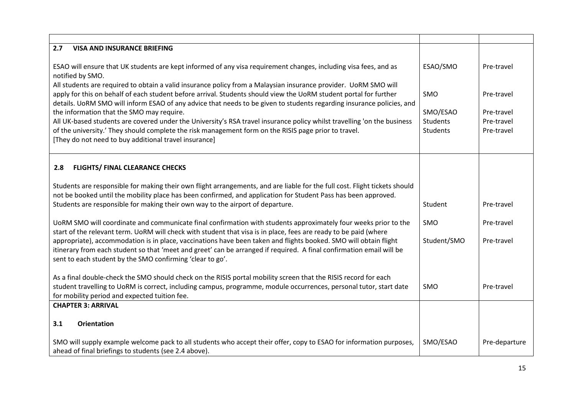| 2.7<br><b>VISA AND INSURANCE BRIEFING</b>                                                                                                                                                                                             |             |               |
|---------------------------------------------------------------------------------------------------------------------------------------------------------------------------------------------------------------------------------------|-------------|---------------|
|                                                                                                                                                                                                                                       |             |               |
| ESAO will ensure that UK students are kept informed of any visa requirement changes, including visa fees, and as                                                                                                                      | ESAO/SMO    | Pre-travel    |
| notified by SMO.                                                                                                                                                                                                                      |             |               |
| All students are required to obtain a valid insurance policy from a Malaysian insurance provider. UoRM SMO will                                                                                                                       |             |               |
| apply for this on behalf of each student before arrival. Students should view the UoRM student portal for further                                                                                                                     | SMO         | Pre-travel    |
| details. UoRM SMO will inform ESAO of any advice that needs to be given to students regarding insurance policies, and                                                                                                                 | SMO/ESAO    | Pre-travel    |
| the information that the SMO may require.<br>All UK-based students are covered under the University's RSA travel insurance policy whilst travelling 'on the business                                                                  | Students    | Pre-travel    |
| of the university.' They should complete the risk management form on the RISIS page prior to travel.                                                                                                                                  | Students    | Pre-travel    |
| [They do not need to buy additional travel insurance]                                                                                                                                                                                 |             |               |
|                                                                                                                                                                                                                                       |             |               |
|                                                                                                                                                                                                                                       |             |               |
| 2.8<br><b>FLIGHTS/ FINAL CLEARANCE CHECKS</b>                                                                                                                                                                                         |             |               |
| Students are responsible for making their own flight arrangements, and are liable for the full cost. Flight tickets should                                                                                                            |             |               |
| not be booked until the mobility place has been confirmed, and application for Student Pass has been approved.                                                                                                                        |             |               |
| Students are responsible for making their own way to the airport of departure.                                                                                                                                                        | Student     | Pre-travel    |
|                                                                                                                                                                                                                                       |             |               |
| UoRM SMO will coordinate and communicate final confirmation with students approximately four weeks prior to the                                                                                                                       | SMO         | Pre-travel    |
| start of the relevant term. UoRM will check with student that visa is in place, fees are ready to be paid (where                                                                                                                      |             |               |
| appropriate), accommodation is in place, vaccinations have been taken and flights booked. SMO will obtain flight                                                                                                                      | Student/SMO | Pre-travel    |
| itinerary from each student so that 'meet and greet' can be arranged if required. A final confirmation email will be                                                                                                                  |             |               |
| sent to each student by the SMO confirming 'clear to go'.                                                                                                                                                                             |             |               |
|                                                                                                                                                                                                                                       |             |               |
| As a final double-check the SMO should check on the RISIS portal mobility screen that the RISIS record for each<br>student travelling to UoRM is correct, including campus, programme, module occurrences, personal tutor, start date | SMO         | Pre-travel    |
| for mobility period and expected tuition fee.                                                                                                                                                                                         |             |               |
| <b>CHAPTER 3: ARRIVAL</b>                                                                                                                                                                                                             |             |               |
|                                                                                                                                                                                                                                       |             |               |
| 3.1<br><b>Orientation</b>                                                                                                                                                                                                             |             |               |
| SMO will supply example welcome pack to all students who accept their offer, copy to ESAO for information purposes,                                                                                                                   | SMO/ESAO    | Pre-departure |
| ahead of final briefings to students (see 2.4 above).                                                                                                                                                                                 |             |               |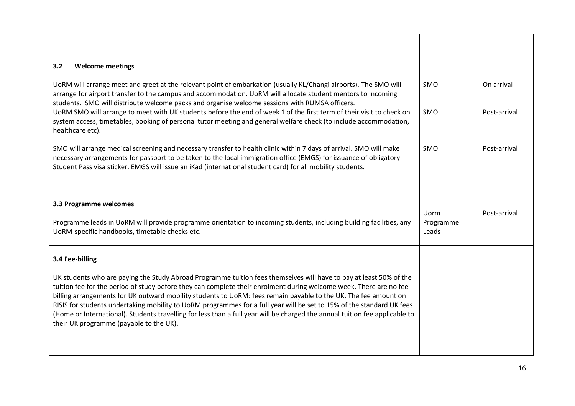| 3.2<br><b>Welcome meetings</b>                                                                                                                                                                                                                                                                                                                                                                                                                                                                                                                                                                                                                                  |                            |              |
|-----------------------------------------------------------------------------------------------------------------------------------------------------------------------------------------------------------------------------------------------------------------------------------------------------------------------------------------------------------------------------------------------------------------------------------------------------------------------------------------------------------------------------------------------------------------------------------------------------------------------------------------------------------------|----------------------------|--------------|
| UoRM will arrange meet and greet at the relevant point of embarkation (usually KL/Changi airports). The SMO will<br>arrange for airport transfer to the campus and accommodation. UoRM will allocate student mentors to incoming<br>students. SMO will distribute welcome packs and organise welcome sessions with RUMSA officers.                                                                                                                                                                                                                                                                                                                              | <b>SMO</b>                 | On arrival   |
| UORM SMO will arrange to meet with UK students before the end of week 1 of the first term of their visit to check on<br>system access, timetables, booking of personal tutor meeting and general welfare check (to include accommodation,<br>healthcare etc).                                                                                                                                                                                                                                                                                                                                                                                                   | SMO                        | Post-arrival |
| SMO will arrange medical screening and necessary transfer to health clinic within 7 days of arrival. SMO will make<br>necessary arrangements for passport to be taken to the local immigration office (EMGS) for issuance of obligatory<br>Student Pass visa sticker. EMGS will issue an iKad (international student card) for all mobility students.                                                                                                                                                                                                                                                                                                           | SMO                        | Post-arrival |
| 3.3 Programme welcomes                                                                                                                                                                                                                                                                                                                                                                                                                                                                                                                                                                                                                                          |                            |              |
| Programme leads in UoRM will provide programme orientation to incoming students, including building facilities, any<br>UoRM-specific handbooks, timetable checks etc.                                                                                                                                                                                                                                                                                                                                                                                                                                                                                           | Uorm<br>Programme<br>Leads | Post-arrival |
| 3.4 Fee-billing                                                                                                                                                                                                                                                                                                                                                                                                                                                                                                                                                                                                                                                 |                            |              |
| UK students who are paying the Study Abroad Programme tuition fees themselves will have to pay at least 50% of the<br>tuition fee for the period of study before they can complete their enrolment during welcome week. There are no fee-<br>billing arrangements for UK outward mobility students to UoRM: fees remain payable to the UK. The fee amount on<br>RISIS for students undertaking mobility to UoRM programmes for a full year will be set to 15% of the standard UK fees<br>(Home or International). Students travelling for less than a full year will be charged the annual tuition fee applicable to<br>their UK programme (payable to the UK). |                            |              |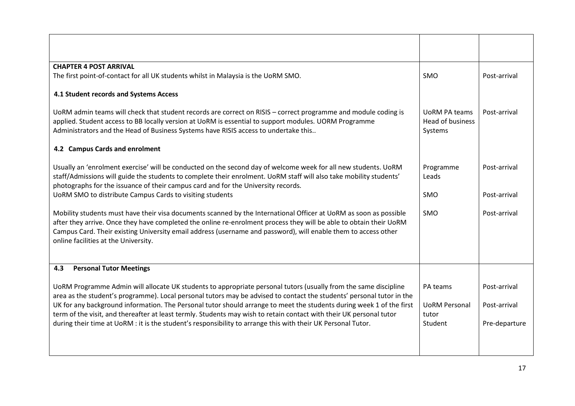| <b>CHAPTER 4 POST ARRIVAL</b>                                                                                                                                                                                                                                                                                                                                                                                                                                                                                                                                                                           |                                                      |                                               |
|---------------------------------------------------------------------------------------------------------------------------------------------------------------------------------------------------------------------------------------------------------------------------------------------------------------------------------------------------------------------------------------------------------------------------------------------------------------------------------------------------------------------------------------------------------------------------------------------------------|------------------------------------------------------|-----------------------------------------------|
| The first point-of-contact for all UK students whilst in Malaysia is the UoRM SMO.                                                                                                                                                                                                                                                                                                                                                                                                                                                                                                                      | SMO                                                  | Post-arrival                                  |
| 4.1 Student records and Systems Access                                                                                                                                                                                                                                                                                                                                                                                                                                                                                                                                                                  |                                                      |                                               |
| UoRM admin teams will check that student records are correct on RISIS - correct programme and module coding is<br>applied. Student access to BB locally version at UoRM is essential to support modules. UORM Programme<br>Administrators and the Head of Business Systems have RISIS access to undertake this                                                                                                                                                                                                                                                                                          | <b>UORM PA teams</b><br>Head of business<br>Systems  | Post-arrival                                  |
| 4.2 Campus Cards and enrolment                                                                                                                                                                                                                                                                                                                                                                                                                                                                                                                                                                          |                                                      |                                               |
| Usually an 'enrolment exercise' will be conducted on the second day of welcome week for all new students. UoRM<br>staff/Admissions will guide the students to complete their enrolment. UoRM staff will also take mobility students'<br>photographs for the issuance of their campus card and for the University records.                                                                                                                                                                                                                                                                               | Programme<br>Leads                                   | Post-arrival                                  |
| UoRM SMO to distribute Campus Cards to visiting students                                                                                                                                                                                                                                                                                                                                                                                                                                                                                                                                                | SMO                                                  | Post-arrival                                  |
| Mobility students must have their visa documents scanned by the International Officer at UoRM as soon as possible<br>after they arrive. Once they have completed the online re-enrolment process they will be able to obtain their UoRM<br>Campus Card. Their existing University email address (username and password), will enable them to access other<br>online facilities at the University.                                                                                                                                                                                                       | SMO                                                  | Post-arrival                                  |
| <b>Personal Tutor Meetings</b><br>4.3                                                                                                                                                                                                                                                                                                                                                                                                                                                                                                                                                                   |                                                      |                                               |
| UoRM Programme Admin will allocate UK students to appropriate personal tutors (usually from the same discipline<br>area as the student's programme). Local personal tutors may be advised to contact the students' personal tutor in the<br>UK for any background information. The Personal tutor should arrange to meet the students during week 1 of the first<br>term of the visit, and thereafter at least termly. Students may wish to retain contact with their UK personal tutor<br>during their time at UoRM : it is the student's responsibility to arrange this with their UK Personal Tutor. | PA teams<br><b>UoRM Personal</b><br>tutor<br>Student | Post-arrival<br>Post-arrival<br>Pre-departure |
|                                                                                                                                                                                                                                                                                                                                                                                                                                                                                                                                                                                                         |                                                      |                                               |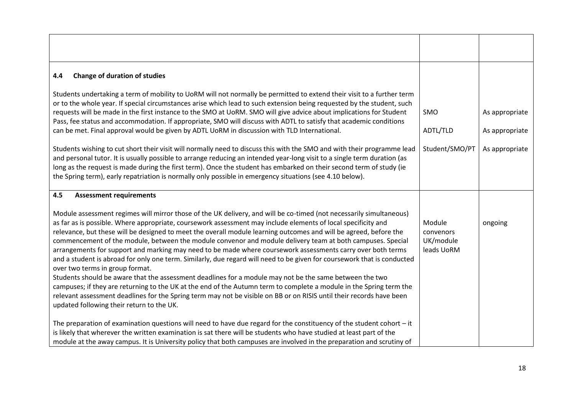| <b>Change of duration of studies</b><br>4.4                                                                                                                                                                                                                                                                                                                                                                                                                                                                                                                                                                                                                                                                                                                                                                                                                                                                                                                                                                                                                                                                                                                 |                                                |                                  |
|-------------------------------------------------------------------------------------------------------------------------------------------------------------------------------------------------------------------------------------------------------------------------------------------------------------------------------------------------------------------------------------------------------------------------------------------------------------------------------------------------------------------------------------------------------------------------------------------------------------------------------------------------------------------------------------------------------------------------------------------------------------------------------------------------------------------------------------------------------------------------------------------------------------------------------------------------------------------------------------------------------------------------------------------------------------------------------------------------------------------------------------------------------------|------------------------------------------------|----------------------------------|
| Students undertaking a term of mobility to UoRM will not normally be permitted to extend their visit to a further term<br>or to the whole year. If special circumstances arise which lead to such extension being requested by the student, such<br>requests will be made in the first instance to the SMO at UoRM. SMO will give advice about implications for Student<br>Pass, fee status and accommodation. If appropriate, SMO will discuss with ADTL to satisfy that academic conditions<br>can be met. Final approval would be given by ADTL UoRM in discussion with TLD International.                                                                                                                                                                                                                                                                                                                                                                                                                                                                                                                                                               | <b>SMO</b><br>ADTL/TLD                         | As appropriate<br>As appropriate |
| Students wishing to cut short their visit will normally need to discuss this with the SMO and with their programme lead<br>and personal tutor. It is usually possible to arrange reducing an intended year-long visit to a single term duration (as<br>long as the request is made during the first term). Once the student has embarked on their second term of study (ie<br>the Spring term), early repatriation is normally only possible in emergency situations (see 4.10 below).                                                                                                                                                                                                                                                                                                                                                                                                                                                                                                                                                                                                                                                                      | Student/SMO/PT                                 | As appropriate                   |
| 4.5<br><b>Assessment requirements</b>                                                                                                                                                                                                                                                                                                                                                                                                                                                                                                                                                                                                                                                                                                                                                                                                                                                                                                                                                                                                                                                                                                                       |                                                |                                  |
| Module assessment regimes will mirror those of the UK delivery, and will be co-timed (not necessarily simultaneous)<br>as far as is possible. Where appropriate, coursework assessment may include elements of local specificity and<br>relevance, but these will be designed to meet the overall module learning outcomes and will be agreed, before the<br>commencement of the module, between the module convenor and module delivery team at both campuses. Special<br>arrangements for support and marking may need to be made where coursework assessments carry over both terms<br>and a student is abroad for only one term. Similarly, due regard will need to be given for coursework that is conducted<br>over two terms in group format.<br>Students should be aware that the assessment deadlines for a module may not be the same between the two<br>campuses; if they are returning to the UK at the end of the Autumn term to complete a module in the Spring term the<br>relevant assessment deadlines for the Spring term may not be visible on BB or on RISIS until their records have been<br>updated following their return to the UK. | Module<br>convenors<br>UK/module<br>leads UoRM | ongoing                          |
| The preparation of examination questions will need to have due regard for the constituency of the student cohort $-i$ t<br>is likely that wherever the written examination is sat there will be students who have studied at least part of the<br>module at the away campus. It is University policy that both campuses are involved in the preparation and scrutiny of                                                                                                                                                                                                                                                                                                                                                                                                                                                                                                                                                                                                                                                                                                                                                                                     |                                                |                                  |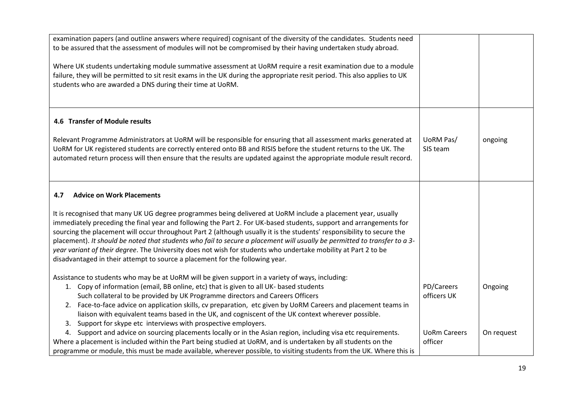| examination papers (and outline answers where required) cognisant of the diversity of the candidates. Students need<br>to be assured that the assessment of modules will not be compromised by their having undertaken study abroad.                                                                                                                                                                                                                                                                                                                                                                                                                                                        |                                |            |
|---------------------------------------------------------------------------------------------------------------------------------------------------------------------------------------------------------------------------------------------------------------------------------------------------------------------------------------------------------------------------------------------------------------------------------------------------------------------------------------------------------------------------------------------------------------------------------------------------------------------------------------------------------------------------------------------|--------------------------------|------------|
| Where UK students undertaking module summative assessment at UoRM require a resit examination due to a module<br>failure, they will be permitted to sit resit exams in the UK during the appropriate resit period. This also applies to UK<br>students who are awarded a DNS during their time at UoRM.                                                                                                                                                                                                                                                                                                                                                                                     |                                |            |
| 4.6 Transfer of Module results                                                                                                                                                                                                                                                                                                                                                                                                                                                                                                                                                                                                                                                              |                                |            |
| Relevant Programme Administrators at UoRM will be responsible for ensuring that all assessment marks generated at<br>UoRM for UK registered students are correctly entered onto BB and RISIS before the student returns to the UK. The<br>automated return process will then ensure that the results are updated against the appropriate module result record.                                                                                                                                                                                                                                                                                                                              | UoRM Pas/<br>SIS team          | ongoing    |
| <b>Advice on Work Placements</b><br>4.7                                                                                                                                                                                                                                                                                                                                                                                                                                                                                                                                                                                                                                                     |                                |            |
| It is recognised that many UK UG degree programmes being delivered at UoRM include a placement year, usually<br>immediately preceding the final year and following the Part 2. For UK-based students, support and arrangements for<br>sourcing the placement will occur throughout Part 2 (although usually it is the students' responsibility to secure the<br>placement). It should be noted that students who fail to secure a placement will usually be permitted to transfer to a 3-<br>year variant of their degree. The University does not wish for students who undertake mobility at Part 2 to be<br>disadvantaged in their attempt to source a placement for the following year. |                                |            |
| Assistance to students who may be at UoRM will be given support in a variety of ways, including:<br>1. Copy of information (email, BB online, etc) that is given to all UK- based students<br>Such collateral to be provided by UK Programme directors and Careers Officers<br>Face-to-face advice on application skills, cv preparation, etc given by UoRM Careers and placement teams in<br>2.<br>liaison with equivalent teams based in the UK, and cogniscent of the UK context wherever possible.<br>Support for skype etc interviews with prospective employers.<br>3.                                                                                                                | PD/Careers<br>officers UK      | Ongoing    |
| 4. Support and advice on sourcing placements locally or in the Asian region, including visa etc requirements.<br>Where a placement is included within the Part being studied at UoRM, and is undertaken by all students on the<br>programme or module, this must be made available, wherever possible, to visiting students from the UK. Where this is                                                                                                                                                                                                                                                                                                                                      | <b>UoRm Careers</b><br>officer | On request |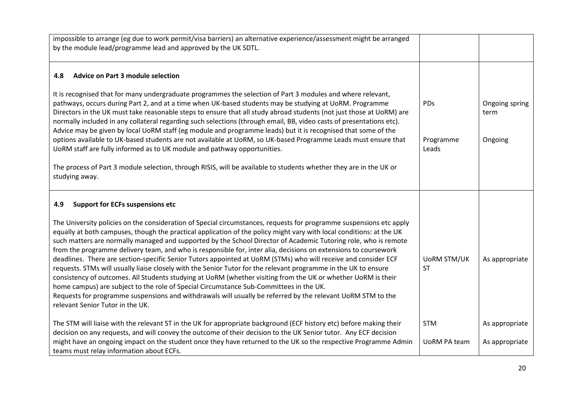| impossible to arrange (eg due to work permit/visa barriers) an alternative experience/assessment might be arranged<br>by the module lead/programme lead and approved by the UK SDTL.                                                                                                                                                                                                                                                                                                                                                                                                                                                                                                                                                                                                                                                                                                                                                                                                                                                                                                 |                                 |                        |
|--------------------------------------------------------------------------------------------------------------------------------------------------------------------------------------------------------------------------------------------------------------------------------------------------------------------------------------------------------------------------------------------------------------------------------------------------------------------------------------------------------------------------------------------------------------------------------------------------------------------------------------------------------------------------------------------------------------------------------------------------------------------------------------------------------------------------------------------------------------------------------------------------------------------------------------------------------------------------------------------------------------------------------------------------------------------------------------|---------------------------------|------------------------|
| <b>Advice on Part 3 module selection</b><br>4.8                                                                                                                                                                                                                                                                                                                                                                                                                                                                                                                                                                                                                                                                                                                                                                                                                                                                                                                                                                                                                                      |                                 |                        |
| It is recognised that for many undergraduate programmes the selection of Part 3 modules and where relevant,<br>pathways, occurs during Part 2, and at a time when UK-based students may be studying at UoRM. Programme<br>Directors in the UK must take reasonable steps to ensure that all study abroad students (not just those at UoRM) are<br>normally included in any collateral regarding such selections (through email, BB, video casts of presentations etc).<br>Advice may be given by local UoRM staff (eg module and programme leads) but it is recognised that some of the                                                                                                                                                                                                                                                                                                                                                                                                                                                                                              | PDs                             | Ongoing spring<br>term |
| options available to UK-based students are not available at UoRM, so UK-based Programme Leads must ensure that<br>UoRM staff are fully informed as to UK module and pathway opportunities.                                                                                                                                                                                                                                                                                                                                                                                                                                                                                                                                                                                                                                                                                                                                                                                                                                                                                           | Programme<br>Leads              | Ongoing                |
| The process of Part 3 module selection, through RISIS, will be available to students whether they are in the UK or<br>studying away.                                                                                                                                                                                                                                                                                                                                                                                                                                                                                                                                                                                                                                                                                                                                                                                                                                                                                                                                                 |                                 |                        |
| <b>Support for ECFs suspensions etc</b><br>4.9                                                                                                                                                                                                                                                                                                                                                                                                                                                                                                                                                                                                                                                                                                                                                                                                                                                                                                                                                                                                                                       |                                 |                        |
| The University policies on the consideration of Special circumstances, requests for programme suspensions etc apply<br>equally at both campuses, though the practical application of the policy might vary with local conditions: at the UK<br>such matters are normally managed and supported by the School Director of Academic Tutoring role, who is remote<br>from the programme delivery team, and who is responsible for, inter alia, decisions on extensions to coursework<br>deadlines. There are section-specific Senior Tutors appointed at UoRM (STMs) who will receive and consider ECF<br>requests. STMs will usually liaise closely with the Senior Tutor for the relevant programme in the UK to ensure<br>consistency of outcomes. All Students studying at UoRM (whether visiting from the UK or whether UoRM is their<br>home campus) are subject to the role of Special Circumstance Sub-Committees in the UK.<br>Requests for programme suspensions and withdrawals will usually be referred by the relevant UoRM STM to the<br>relevant Senior Tutor in the UK. | <b>UORM STM/UK</b><br><b>ST</b> | As appropriate         |
| The STM will liaise with the relevant ST in the UK for appropriate background (ECF history etc) before making their<br>decision on any requests, and will convey the outcome of their decision to the UK Senior tutor. Any ECF decision                                                                                                                                                                                                                                                                                                                                                                                                                                                                                                                                                                                                                                                                                                                                                                                                                                              | <b>STM</b>                      | As appropriate         |
| might have an ongoing impact on the student once they have returned to the UK so the respective Programme Admin<br>teams must relay information about ECFs.                                                                                                                                                                                                                                                                                                                                                                                                                                                                                                                                                                                                                                                                                                                                                                                                                                                                                                                          | <b>UoRM PA team</b>             | As appropriate         |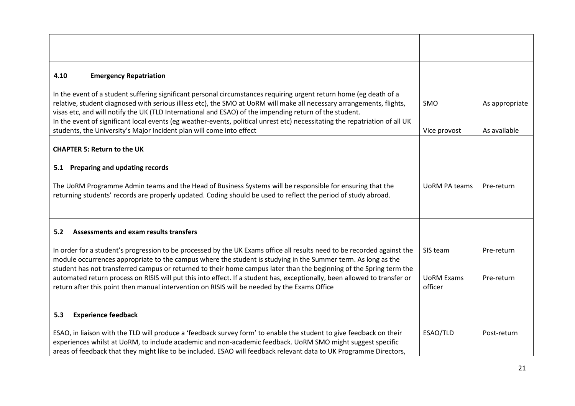| <b>Emergency Repatriation</b><br>4.10                                                                                                                                                                                                                                                                                                                                                                                                                                                |                              |                |
|--------------------------------------------------------------------------------------------------------------------------------------------------------------------------------------------------------------------------------------------------------------------------------------------------------------------------------------------------------------------------------------------------------------------------------------------------------------------------------------|------------------------------|----------------|
| In the event of a student suffering significant personal circumstances requiring urgent return home (eg death of a<br>relative, student diagnosed with serious illless etc), the SMO at UoRM will make all necessary arrangements, flights,<br>visas etc, and will notify the UK (TLD International and ESAO) of the impending return of the student.<br>In the event of significant local events (eg weather-events, political unrest etc) necessitating the repatriation of all UK | SMO                          | As appropriate |
| students, the University's Major Incident plan will come into effect                                                                                                                                                                                                                                                                                                                                                                                                                 | Vice provost                 | As available   |
| <b>CHAPTER 5: Return to the UK</b>                                                                                                                                                                                                                                                                                                                                                                                                                                                   |                              |                |
|                                                                                                                                                                                                                                                                                                                                                                                                                                                                                      |                              |                |
| 5.1 Preparing and updating records                                                                                                                                                                                                                                                                                                                                                                                                                                                   |                              |                |
| The UoRM Programme Admin teams and the Head of Business Systems will be responsible for ensuring that the<br>returning students' records are properly updated. Coding should be used to reflect the period of study abroad.                                                                                                                                                                                                                                                          | <b>UORM PA teams</b>         | Pre-return     |
| Assessments and exam results transfers<br>5.2                                                                                                                                                                                                                                                                                                                                                                                                                                        |                              |                |
| In order for a student's progression to be processed by the UK Exams office all results need to be recorded against the<br>module occurrences appropriate to the campus where the student is studying in the Summer term. As long as the<br>student has not transferred campus or returned to their home campus later than the beginning of the Spring term the                                                                                                                      | SIS team                     | Pre-return     |
| automated return process on RISIS will put this into effect. If a student has, exceptionally, been allowed to transfer or<br>return after this point then manual intervention on RISIS will be needed by the Exams Office                                                                                                                                                                                                                                                            | <b>UORM Exams</b><br>officer | Pre-return     |
| <b>Experience feedback</b><br>5.3                                                                                                                                                                                                                                                                                                                                                                                                                                                    |                              |                |
| ESAO, in liaison with the TLD will produce a 'feedback survey form' to enable the student to give feedback on their<br>experiences whilst at UoRM, to include academic and non-academic feedback. UoRM SMO might suggest specific<br>areas of feedback that they might like to be included. ESAO will feedback relevant data to UK Programme Directors,                                                                                                                              | ESAO/TLD                     | Post-return    |